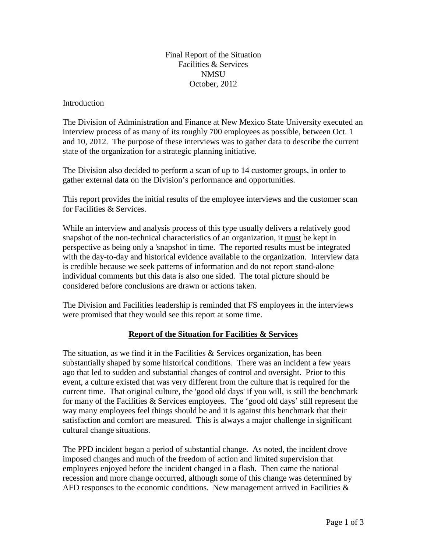Final Report of the Situation Facilities & Services **NMSU** October, 2012

#### Introduction

The Division of Administration and Finance at New Mexico State University executed an interview process of as many of its roughly 700 employees as possible, between Oct. 1 and 10, 2012. The purpose of these interviews was to gather data to describe the current state of the organization for a strategic planning initiative.

The Division also decided to perform a scan of up to 14 customer groups, in order to gather external data on the Division's performance and opportunities.

This report provides the initial results of the employee interviews and the customer scan for Facilities & Services.

While an interview and analysis process of this type usually delivers a relatively good snapshot of the non-technical characteristics of an organization, it must be kept in perspective as being only a 'snapshot' in time. The reported results must be integrated with the day-to-day and historical evidence available to the organization. Interview data is credible because we seek patterns of information and do not report stand-alone individual comments but this data is also one sided. The total picture should be considered before conclusions are drawn or actions taken.

The Division and Facilities leadership is reminded that FS employees in the interviews were promised that they would see this report at some time.

### **Report of the Situation for Facilities & Services**

The situation, as we find it in the Facilities & Services organization, has been substantially shaped by some historical conditions. There was an incident a few years ago that led to sudden and substantial changes of control and oversight. Prior to this event, a culture existed that was very different from the culture that is required for the current time. That original culture, the 'good old days' if you will, is still the benchmark for many of the Facilities & Services employees. The 'good old days' still represent the way many employees feel things should be and it is against this benchmark that their satisfaction and comfort are measured. This is always a major challenge in significant cultural change situations.

The PPD incident began a period of substantial change. As noted, the incident drove imposed changes and much of the freedom of action and limited supervision that employees enjoyed before the incident changed in a flash. Then came the national recession and more change occurred, although some of this change was determined by AFD responses to the economic conditions. New management arrived in Facilities  $\&$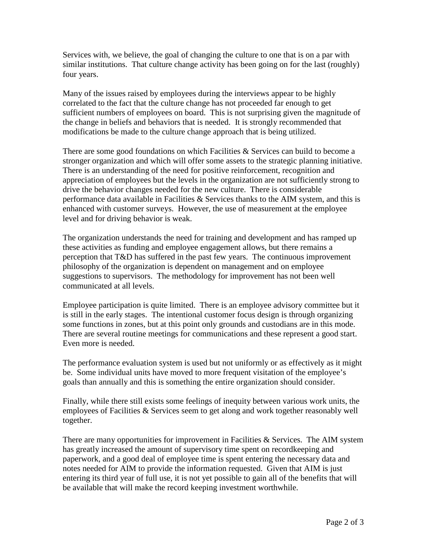Services with, we believe, the goal of changing the culture to one that is on a par with similar institutions. That culture change activity has been going on for the last (roughly) four years.

Many of the issues raised by employees during the interviews appear to be highly correlated to the fact that the culture change has not proceeded far enough to get sufficient numbers of employees on board. This is not surprising given the magnitude of the change in beliefs and behaviors that is needed. It is strongly recommended that modifications be made to the culture change approach that is being utilized.

There are some good foundations on which Facilities & Services can build to become a stronger organization and which will offer some assets to the strategic planning initiative. There is an understanding of the need for positive reinforcement, recognition and appreciation of employees but the levels in the organization are not sufficiently strong to drive the behavior changes needed for the new culture. There is considerable performance data available in Facilities & Services thanks to the AIM system, and this is enhanced with customer surveys. However, the use of measurement at the employee level and for driving behavior is weak.

The organization understands the need for training and development and has ramped up these activities as funding and employee engagement allows, but there remains a perception that T&D has suffered in the past few years. The continuous improvement philosophy of the organization is dependent on management and on employee suggestions to supervisors. The methodology for improvement has not been well communicated at all levels.

Employee participation is quite limited. There is an employee advisory committee but it is still in the early stages. The intentional customer focus design is through organizing some functions in zones, but at this point only grounds and custodians are in this mode. There are several routine meetings for communications and these represent a good start. Even more is needed.

The performance evaluation system is used but not uniformly or as effectively as it might be. Some individual units have moved to more frequent visitation of the employee's goals than annually and this is something the entire organization should consider.

Finally, while there still exists some feelings of inequity between various work units, the employees of Facilities & Services seem to get along and work together reasonably well together.

There are many opportunities for improvement in Facilities  $\&$  Services. The AIM system has greatly increased the amount of supervisory time spent on recordkeeping and paperwork, and a good deal of employee time is spent entering the necessary data and notes needed for AIM to provide the information requested. Given that AIM is just entering its third year of full use, it is not yet possible to gain all of the benefits that will be available that will make the record keeping investment worthwhile.